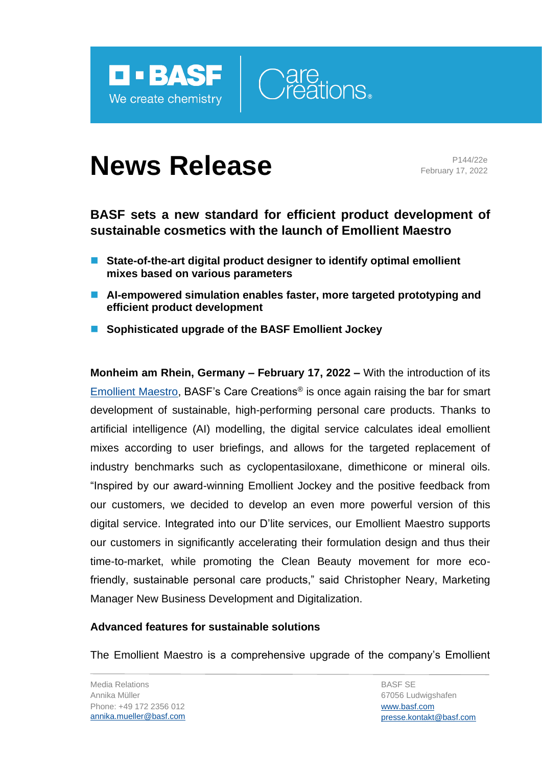



# **News Release** Pressure Release

February 17, 2022

## **BASF sets a new standard for efficient product development of sustainable cosmetics with the launch of Emollient Maestro**

- State-of-the-art digital product designer to identify optimal emollient **mixes based on various parameters**
- AI-empowered simulation enables faster, more targeted prototyping and **efficient product development**
- Sophisticated upgrade of the BASF Emollient Jockey

**Monheim am Rhein, Germany – February 17, 2022 –** With the introduction of its [Emollient Maestro,](https://www.carecreations.basf.com/landingpage-mastering-emollients/) BASF's Care Creations® is once again raising the bar for smart development of sustainable, high-performing personal care products. Thanks to artificial intelligence (AI) modelling, the digital service calculates ideal emollient mixes according to user briefings, and allows for the targeted replacement of industry benchmarks such as cyclopentasiloxane, dimethicone or mineral oils. "Inspired by our award-winning Emollient Jockey and the positive feedback from our customers, we decided to develop an even more powerful version of this digital service. Integrated into our D'lite services, our Emollient Maestro supports our customers in significantly accelerating their formulation design and thus their time-to-market, while promoting the Clean Beauty movement for more ecofriendly, sustainable personal care products," said Christopher Neary, Marketing Manager New Business Development and Digitalization.

### **Advanced features for sustainable solutions**

The Emollient Maestro is a comprehensive upgrade of the company's Emollient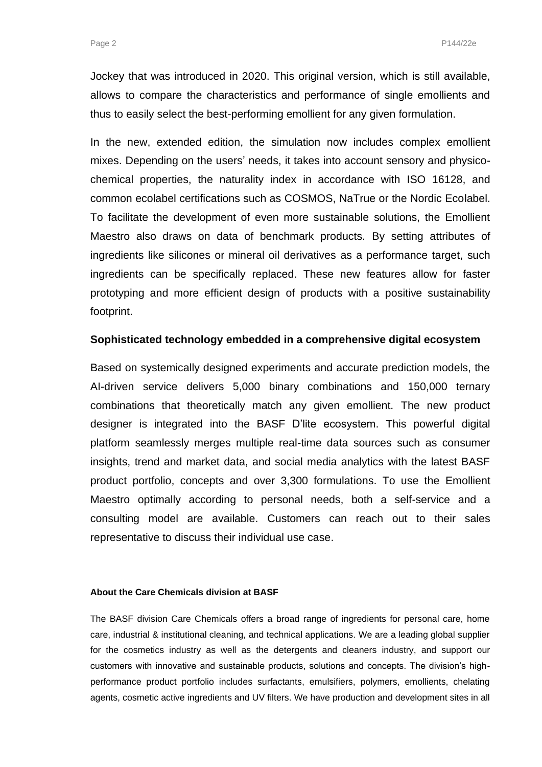Jockey that was introduced in 2020. This original version, which is still available, allows to compare the characteristics and performance of single emollients and thus to easily select the best-performing emollient for any given formulation.

In the new, extended edition, the simulation now includes complex emollient mixes. Depending on the users' needs, it takes into account sensory and physicochemical properties, the naturality index in accordance with ISO 16128, and common ecolabel certifications such as COSMOS, NaTrue or the Nordic Ecolabel. To facilitate the development of even more sustainable solutions, the Emollient Maestro also draws on data of benchmark products. By setting attributes of ingredients like silicones or mineral oil derivatives as a performance target, such ingredients can be specifically replaced. These new features allow for faster prototyping and more efficient design of products with a positive sustainability footprint.

#### **Sophisticated technology embedded in a comprehensive digital ecosystem**

Based on systemically designed experiments and accurate prediction models, the AI-driven service delivers 5,000 binary combinations and 150,000 ternary combinations that theoretically match any given emollient. The new product designer is integrated into the BASF D'lite ecosystem. This powerful digital platform seamlessly merges multiple real-time data sources such as consumer insights, trend and market data, and social media analytics with the latest BASF product portfolio, concepts and over 3,300 formulations. To use the Emollient Maestro optimally according to personal needs, both a self-service and a consulting model are available. Customers can reach out to their sales representative to discuss their individual use case.

#### **About the Care Chemicals division at BASF**

The BASF division Care Chemicals offers a broad range of ingredients for personal care, home care, industrial & institutional cleaning, and technical applications. We are a leading global supplier for the cosmetics industry as well as the detergents and cleaners industry, and support our customers with innovative and sustainable products, solutions and concepts. The division's highperformance product portfolio includes surfactants, emulsifiers, polymers, emollients, chelating agents, cosmetic active ingredients and UV filters. We have production and development sites in all